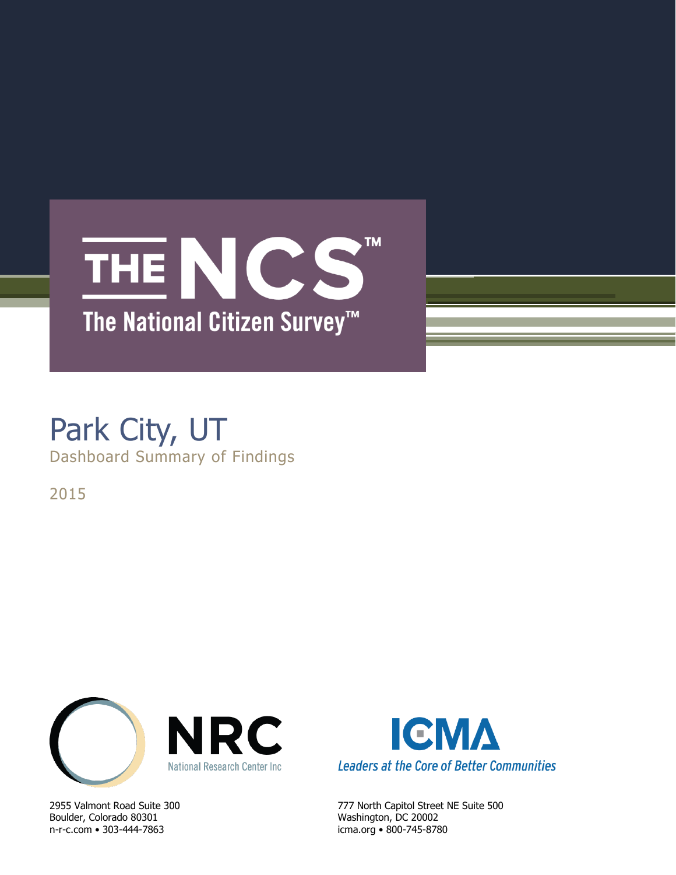# **TM** THE NCS The National Citizen Survey<sup>™</sup>

# Park City, UT Dashboard Summary of Findings

2015



Boulder, Colorado 80301 Washington, DC 20002 n-r-c.com • 303-444-7863 icma.org • 800-745-8780



2955 Valmont Road Suite 300 777 North Capitol Street NE Suite 500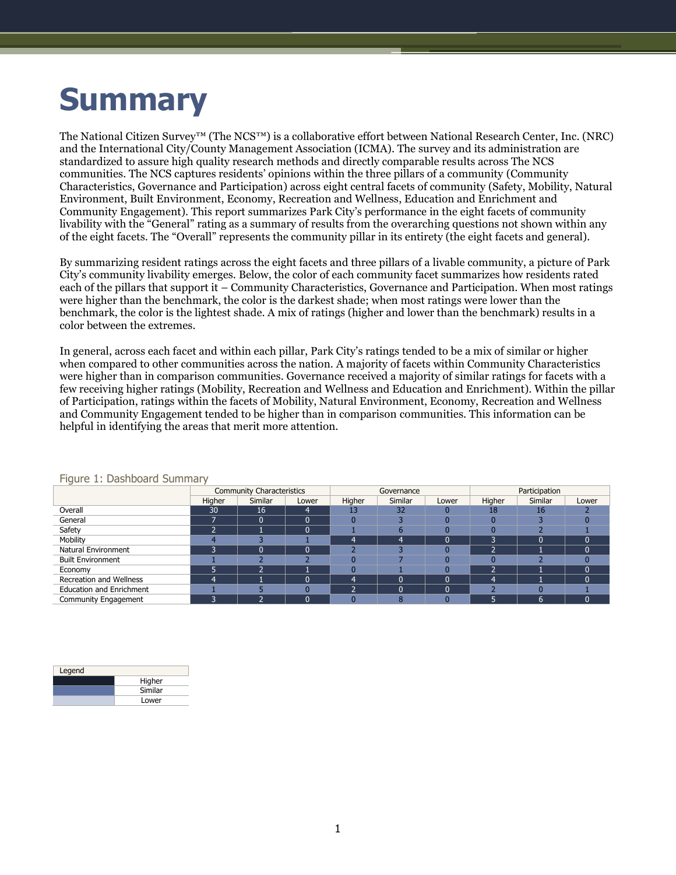# **Summary**

The National Citizen Survey™ (The NCS™) is a collaborative effort between National Research Center, Inc. (NRC) and the International City/County Management Association (ICMA). The survey and its administration are standardized to assure high quality research methods and directly comparable results across The NCS communities. The NCS captures residents' opinions within the three pillars of a community (Community Characteristics, Governance and Participation) across eight central facets of community (Safety, Mobility, Natural Environment, Built Environment, Economy, Recreation and Wellness, Education and Enrichment and Community Engagement). This report summarizes Park City's performance in the eight facets of community livability with the "General" rating as a summary of results from the overarching questions not shown within any of the eight facets. The "Overall" represents the community pillar in its entirety (the eight facets and general).

By summarizing resident ratings across the eight facets and three pillars of a livable community, a picture of Park City's community livability emerges. Below, the color of each community facet summarizes how residents rated each of the pillars that support it – Community Characteristics, Governance and Participation. When most ratings were higher than the benchmark, the color is the darkest shade; when most ratings were lower than the benchmark, the color is the lightest shade. A mix of ratings (higher and lower than the benchmark) results in a color between the extremes.

In general, across each facet and within each pillar, Park City's ratings tended to be a mix of similar or higher when compared to other communities across the nation. A majority of facets within Community Characteristics were higher than in comparison communities. Governance received a majority of similar ratings for facets with a few receiving higher ratings (Mobility, Recreation and Wellness and Education and Enrichment). Within the pillar of Participation, ratings within the facets of Mobility, Natural Environment, Economy, Recreation and Wellness and Community Engagement tended to be higher than in comparison communities. This information can be helpful in identifying the areas that merit more attention.

| $\tilde{\phantom{a}}$           |        | <b>Community Characteristics</b> |       |                | Governance |       | Participation |         |            |  |
|---------------------------------|--------|----------------------------------|-------|----------------|------------|-------|---------------|---------|------------|--|
|                                 | Higher | Similar                          | Lower | Higher         | Similar    | Lower | Higher        | Similar | Lower      |  |
| Overall                         | 30     | 16                               | 4     | 13             | 32         |       | 18            | 16      |            |  |
| General                         |        |                                  | 0     |                |            |       |               |         |            |  |
| Safety                          |        |                                  | 0     |                | 'n         |       |               |         |            |  |
| Mobility                        |        |                                  |       | 4              | 4          |       |               | በ       | C          |  |
| Natural Environment             | ÷      |                                  | 0     |                |            |       |               |         | C          |  |
| <b>Built Environment</b>        |        |                                  |       |                |            |       |               |         |            |  |
| Economy                         |        |                                  |       |                |            |       |               |         | $\sqrt{ }$ |  |
| Recreation and Wellness         | 4      |                                  | 0     | $\overline{4}$ | $\sqrt{ }$ |       | 4             |         | $\Omega$   |  |
| <b>Education and Enrichment</b> |        |                                  |       | 7              | C          |       |               |         |            |  |
| Community Engagement            | p      |                                  | 'n    |                | 8          |       |               | 6       |            |  |

### Figure 1: Dashboard Summary

| Legend |         |
|--------|---------|
|        | Higher  |
|        | Similar |
|        | Lower   |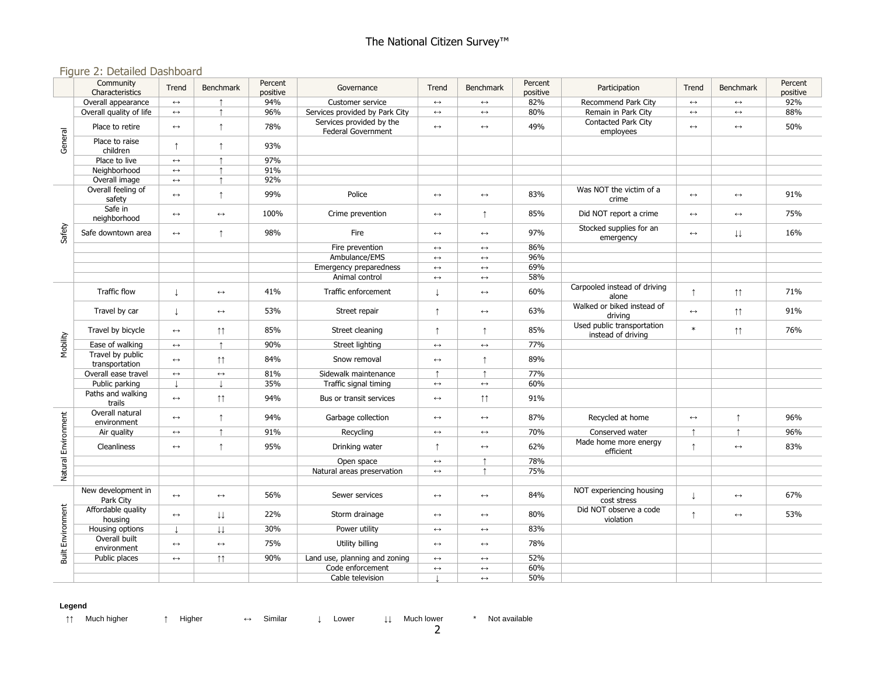### Figure 2: Detailed Dashboard

|                          | Community<br>Characteristics       | Trend                    | <b>Benchmark</b>       | Percent<br>positive | Governance                                     | Trend                 | <b>Benchmark</b>      | Percent<br>positive | Participation                                    | Trend                 | <b>Benchmark</b>        | Percent<br>positive |
|--------------------------|------------------------------------|--------------------------|------------------------|---------------------|------------------------------------------------|-----------------------|-----------------------|---------------------|--------------------------------------------------|-----------------------|-------------------------|---------------------|
|                          | Overall appearance                 | $\leftrightarrow$        |                        | 94%                 | Customer service                               | $\longleftrightarrow$ | $\leftrightarrow$     | 82%                 | Recommend Park City                              | $\leftrightarrow$     | $\leftrightarrow$       | 92%                 |
| General                  | Overall quality of life            | $\longleftrightarrow$    |                        | 96%                 | Services provided by Park City                 | $\leftrightarrow$     | $\leftrightarrow$     | 80%                 | Remain in Park City                              | $\leftrightarrow$     | $\leftrightarrow$       | 88%                 |
|                          | Place to retire                    | $\longleftrightarrow$    | $\uparrow$             | 78%                 | Services provided by the<br>Federal Government | $\longleftrightarrow$ | $\leftrightarrow$     | 49%                 | Contacted Park City<br>employees                 | $\longleftrightarrow$ | $\leftrightarrow$       | 50%                 |
|                          | Place to raise<br>children         | ↑                        | $\uparrow$             | 93%                 |                                                |                       |                       |                     |                                                  |                       |                         |                     |
|                          | Place to live                      | $\longleftrightarrow$    |                        | 97%                 |                                                |                       |                       |                     |                                                  |                       |                         |                     |
|                          | Neighborhood                       | $\leftrightarrow$        | $\uparrow$             | 91%                 |                                                |                       |                       |                     |                                                  |                       |                         |                     |
|                          | Overall image                      | $\leftrightarrow$        | $\uparrow$             | 92%                 |                                                |                       |                       |                     |                                                  |                       |                         |                     |
|                          | Overall feeling of<br>safety       | $\leftrightarrow$        | $\uparrow$             | 99%                 | Police                                         | $\longleftrightarrow$ | $\longleftrightarrow$ | 83%                 | Was NOT the victim of a<br>crime                 | $\leftrightarrow$     | $\leftrightarrow$       | 91%                 |
|                          | Safe in<br>neighborhood            | $\longleftrightarrow$    | $\longleftrightarrow$  | 100%                | Crime prevention                               | $\longleftrightarrow$ | ↑                     | 85%                 | Did NOT report a crime                           | $\longleftrightarrow$ | $\leftrightarrow$       | 75%                 |
| Safety                   | Safe downtown area                 | $\longleftrightarrow$    | $\uparrow$             | 98%                 | Fire                                           | $\longleftrightarrow$ | $\leftrightarrow$     | 97%                 | Stocked supplies for an<br>emergency             | $\leftrightarrow$     | $\downarrow \downarrow$ | 16%                 |
|                          |                                    |                          |                        |                     | Fire prevention                                | $\longleftrightarrow$ | $\leftrightarrow$     | 86%                 |                                                  |                       |                         |                     |
|                          |                                    |                          |                        |                     | Ambulance/EMS                                  | $\longleftrightarrow$ | $\longleftrightarrow$ | 96%                 |                                                  |                       |                         |                     |
|                          |                                    |                          |                        |                     | Emergency preparedness                         | $\longleftrightarrow$ | $\leftrightarrow$     | 69%                 |                                                  |                       |                         |                     |
|                          |                                    |                          |                        |                     | Animal control                                 | $\longleftrightarrow$ | $\longleftrightarrow$ | 58%                 |                                                  |                       |                         |                     |
|                          | Traffic flow                       | T                        | $\longleftrightarrow$  | 41%                 | Traffic enforcement                            | T                     | $\longleftrightarrow$ | 60%                 | Carpooled instead of driving<br>alone            | $\uparrow$            | $\uparrow \uparrow$     | 71%                 |
|                          | Travel by car                      | T                        | $\longleftrightarrow$  | 53%                 | Street repair                                  | $\uparrow$            | $\longleftrightarrow$ | 63%                 | Walked or biked instead of<br>driving            | $\longleftrightarrow$ | $\uparrow \uparrow$     | 91%                 |
|                          | Travel by bicycle                  | $\longleftrightarrow$    | $\uparrow \uparrow$    | 85%                 | Street cleaning                                | $\uparrow$            | $\uparrow$            | 85%                 | Used public transportation<br>instead of driving | $\ast$                | $\uparrow \uparrow$     | 76%                 |
| Mobility                 | Ease of walking                    | $\leftrightarrow$        | $\uparrow$             | 90%                 | Street lighting                                | $\longleftrightarrow$ | $\longleftrightarrow$ | 77%                 |                                                  |                       |                         |                     |
|                          | Travel by public<br>transportation | $\longleftrightarrow$    | $\uparrow \uparrow$    | 84%                 | Snow removal                                   | $\longleftrightarrow$ | $\uparrow$            | 89%                 |                                                  |                       |                         |                     |
|                          | Overall ease travel                | $\longleftrightarrow$    | $\longleftrightarrow$  | 81%                 | Sidewalk maintenance                           |                       |                       | 77%                 |                                                  |                       |                         |                     |
|                          | Public parking                     | $\overline{\phantom{a}}$ | $\perp$                | 35%                 | Traffic signal timing                          | $\longleftrightarrow$ | $\longleftrightarrow$ | 60%                 |                                                  |                       |                         |                     |
|                          | Paths and walking<br>trails        | $\leftrightarrow$        | $\uparrow\uparrow$     | 94%                 | Bus or transit services                        | $\longleftrightarrow$ | $\uparrow \uparrow$   | 91%                 |                                                  |                       |                         |                     |
|                          | Overall natural<br>environment     | $\leftrightarrow$        | $\uparrow$             | 94%                 | Garbage collection                             | $\longleftrightarrow$ | $\longleftrightarrow$ | 87%                 | Recycled at home                                 | $\longleftrightarrow$ | $\uparrow$              | 96%                 |
|                          | Air quality                        | $\leftrightarrow$        | $\uparrow$             | 91%                 | Recycling                                      | $\longleftrightarrow$ | $\longleftrightarrow$ | 70%                 | Conserved water                                  | $\uparrow$            | $\uparrow$              | 96%                 |
| Natural Environment      | Cleanliness                        | $\longleftrightarrow$    | $\uparrow$             | 95%                 | Drinking water                                 | ↑                     | $\leftrightarrow$     | 62%                 | Made home more energy<br>efficient               | $\uparrow$            | $\leftrightarrow$       | 83%                 |
|                          |                                    |                          |                        |                     | Open space                                     | $\longleftrightarrow$ | $\uparrow$            | 78%                 |                                                  |                       |                         |                     |
|                          |                                    |                          |                        |                     | Natural areas preservation                     | $\leftrightarrow$     |                       | 75%                 |                                                  |                       |                         |                     |
|                          | New development in<br>Park City    | $\leftrightarrow$        | $\leftrightarrow$      | 56%                 | Sewer services                                 | $\longleftrightarrow$ | $\leftrightarrow$     | 84%                 | NOT experiencing housing<br>cost stress          | $\downarrow$          | $\leftrightarrow$       | 67%                 |
|                          | Affordable quality<br>housing      | $\leftrightarrow$        | ↓↓                     | 22%                 | Storm drainage                                 | $\longleftrightarrow$ | $\leftrightarrow$     | 80%                 | Did NOT observe a code<br>violation              | $\uparrow$            | $\leftrightarrow$       | 53%                 |
|                          | Housing options                    |                          | $\downarrow\downarrow$ | 30%                 | Power utility                                  | $\longleftrightarrow$ | $\longleftrightarrow$ | 83%                 |                                                  |                       |                         |                     |
| <b>Built Environment</b> | Overall built<br>environment       | $\leftrightarrow$        | $\leftrightarrow$      | 75%                 | Utility billing                                | $\longleftrightarrow$ | $\leftrightarrow$     | 78%                 |                                                  |                       |                         |                     |
|                          | Public places                      | $\leftrightarrow$        | $\uparrow \uparrow$    | 90%                 | Land use, planning and zoning                  | $\longleftrightarrow$ | $\longleftrightarrow$ | 52%                 |                                                  |                       |                         |                     |
|                          |                                    |                          |                        |                     | Code enforcement                               | $\longleftrightarrow$ | $\leftrightarrow$     | 60%                 |                                                  |                       |                         |                     |
|                          |                                    |                          |                        |                     | Cable television                               |                       | $\leftrightarrow$     | 50%                 |                                                  |                       |                         |                     |

#### **Legend**

↑↑ Much higher ↑ Higher ↔ Similar ↓ Lower ↓↓ Much lower \* Not available

2